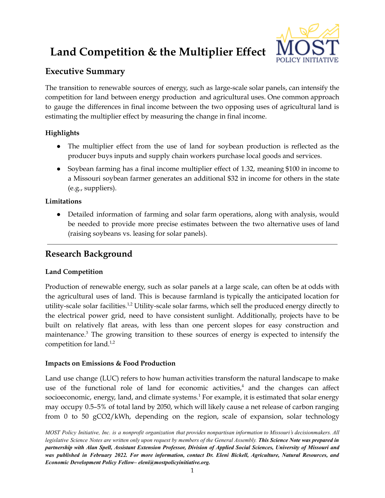# **Land Competition & the Multiplier Effect**



## **Executive Summary**

The transition to renewable sources of energy, such as large-scale solar panels, can intensify the competition for land between energy production and agricultural uses. One common approach to gauge the differences in final income between the two opposing uses of agricultural land is estimating the multiplier effect by measuring the change in final income.

### **Highlights**

- The multiplier effect from the use of land for soybean production is reflected as the producer buys inputs and supply chain workers purchase local goods and services.
- Soybean farming has a final income multiplier effect of 1.32, meaning \$100 in income to a Missouri soybean farmer generates an additional \$32 in income for others in the state (e.g., suppliers).

### **Limitations**

● Detailed information of farming and solar farm operations, along with analysis, would be needed to provide more precise estimates between the two alternative uses of land (raising soybeans vs. leasing for solar panels).

## **Research Background**

### **Land Competition**

Production of renewable energy, such as solar panels at a large scale, can often be at odds with the agricultural uses of land. This is because farmland is typically the anticipated location for utility-scale solar facilities.<sup>1,2</sup> Utility-scale solar farms, which sell the produced energy directly to the electrical power grid, need to have consistent sunlight. Additionally, projects have to be built on relatively flat areas, with less than one percent slopes for easy construction and maintenance.<sup>3</sup> The growing transition to these sources of energy is expected to intensify the competition for land. $1,2$ 

#### **Impacts on Emissions & Food Production**

Land use change (LUC) refers to how human activities transform the natural landscape to make use of the functional role of land for economic activities, <sup>4</sup> and the changes can affect socioeconomic, energy, land, and climate systems.<sup>1</sup> For example, it is estimated that solar energy may occupy 0.5–5% of total land by 2050, which will likely cause a net release of carbon ranging from 0 to 50 gCO2/kWh, depending on the region, scale of expansion, solar technology

MOST Policy Initiative, Inc. is a nonprofit organization that provides nonpartisan information to Missouri's decisionmakers. All legislative Science Notes are written only upon request by members of the General Assembly. This Science Note was prepared in partnership with Alan Spell, Assistant Extension Professor, Division of Applied Social Sciences, University of Missouri and was published in February 2022. For more information, contact Dr. Eleni Bickell, Agriculture, Natural Resources, and *Economic Development Policy Fellow– eleni@mostpolicyinitiative.org.*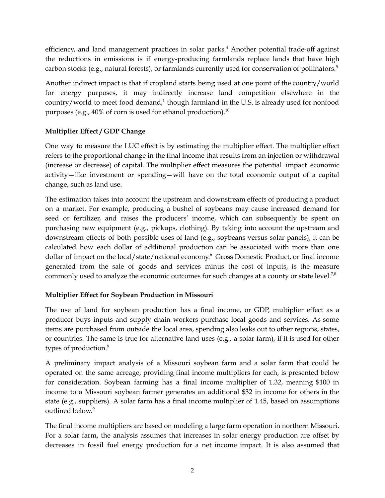efficiency, and land management practices in solar parks. <sup>4</sup> Another potential trade-off against the reductions in emissions is if energy-producing farmlands replace lands that have high carbon stocks (e.g., natural forests), or farmlands currently used for conservation of pollinators. 5

Another indirect impact is that if cropland starts being used at one point of the country/world for energy purposes, it may indirectly increase land competition elsewhere in the country/world to meet food demand,<sup>1</sup> though farmland in the U.S. is already used for nonfood purposes (e.g., 40% of corn is used for ethanol production). $^{10}$ 

#### **Multiplier Effect / GDP Change**

One way to measure the LUC effect is by estimating the multiplier effect. The multiplier effect refers to the proportional change in the final income that results from an injection or withdrawal (increase or decrease) of capital. The multiplier effect measures the potential impact economic activity—like investment or spending—will have on the total economic output of a capital change, such as land use.

The estimation takes into account the upstream and downstream effects of producing a product on a market. For example, producing a bushel of soybeans may cause increased demand for seed or fertilizer, and raises the producers' income, which can subsequently be spent on purchasing new equipment (e.g., pickups, clothing). By taking into account the upstream and downstream effects of both possible uses of land (e.g., soybeans versus solar panels), it can be calculated how each dollar of additional production can be associated with more than one dollar of impact on the local/state/national economy. <sup>6</sup> Gross Domestic Product, or final income generated from the sale of goods and services minus the cost of inputs, is the measure commonly used to analyze the economic outcomes for such changes at a county or state level.<sup>7,8</sup>

#### **Multiplier Effect for Soybean Production in Missouri**

The use of land for soybean production has a final income, or GDP, multiplier effect as a producer buys inputs and supply chain workers purchase local goods and services. As some items are purchased from outside the local area, spending also leaks out to other regions, states, or countries. The same is true for alternative land uses (e.g., a solar farm), if it is used for other types of production.<sup>9</sup>

A preliminary impact analysis of a Missouri soybean farm and a solar farm that could be operated on the same acreage, providing final income multipliers for each, is presented below for consideration. Soybean farming has a final income multiplier of 1.32, meaning \$100 in income to a Missouri soybean farmer generates an additional \$32 in income for others in the state (e.g., suppliers). A solar farm has a final income multiplier of 1.45, based on assumptions outlined below. 9

The final income multipliers are based on modeling a large farm operation in northern Missouri. For a solar farm, the analysis assumes that increases in solar energy production are offset by decreases in fossil fuel energy production for a net income impact. It is also assumed that